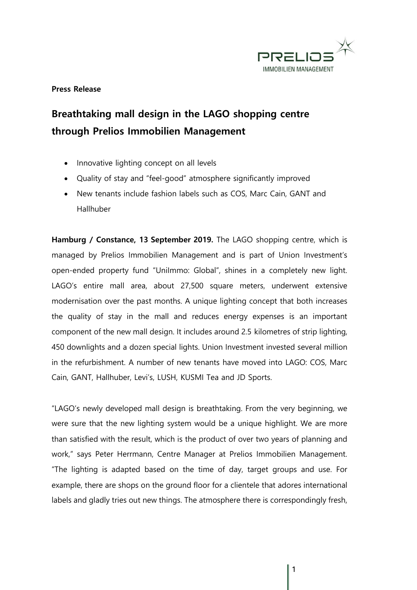

## **Press Release**

## **Breathtaking mall design in the LAGO shopping centre through Prelios Immobilien Management**

- Innovative lighting concept on all levels
- Quality of stay and "feel-good" atmosphere significantly improved
- New tenants include fashion labels such as COS, Marc Cain, GANT and Hallhuber

**Hamburg / Constance, 13 September 2019.** The LAGO shopping centre, which is managed by Prelios Immobilien Management and is part of Union Investment's open-ended property fund "UniImmo: Global", shines in a completely new light. LAGO's entire mall area, about 27,500 square meters, underwent extensive modernisation over the past months. A unique lighting concept that both increases the quality of stay in the mall and reduces energy expenses is an important component of the new mall design. It includes around 2.5 kilometres of strip lighting, 450 downlights and a dozen special lights. Union Investment invested several million in the refurbishment. A number of new tenants have moved into LAGO: COS, Marc Cain, GANT, Hallhuber, Levi's, LUSH, KUSMI Tea and JD Sports.

"LAGO's newly developed mall design is breathtaking. From the very beginning, we were sure that the new lighting system would be a unique highlight. We are more than satisfied with the result, which is the product of over two years of planning and work," says Peter Herrmann, Centre Manager at Prelios Immobilien Management. "The lighting is adapted based on the time of day, target groups and use. For example, there are shops on the ground floor for a clientele that adores international labels and gladly tries out new things. The atmosphere there is correspondingly fresh,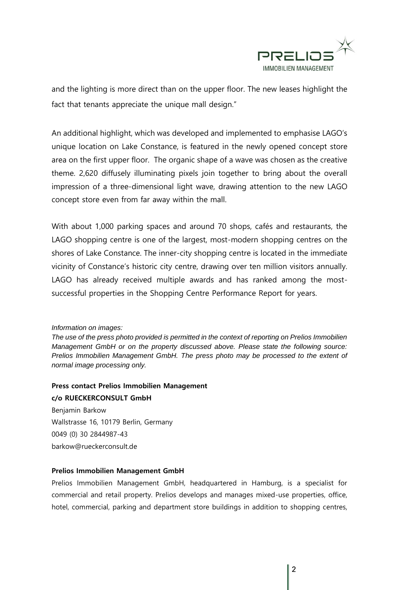

and the lighting is more direct than on the upper floor. The new leases highlight the fact that tenants appreciate the unique mall design."

An additional highlight, which was developed and implemented to emphasise LAGO's unique location on Lake Constance, is featured in the newly opened concept store area on the first upper floor. The organic shape of a wave was chosen as the creative theme. 2,620 diffusely illuminating pixels join together to bring about the overall impression of a three-dimensional light wave, drawing attention to the new LAGO concept store even from far away within the mall.

With about 1,000 parking spaces and around 70 shops, cafés and restaurants, the LAGO shopping centre is one of the largest, most-modern shopping centres on the shores of Lake Constance. The inner-city shopping centre is located in the immediate vicinity of Constance's historic city centre, drawing over ten million visitors annually. LAGO has already received multiple awards and has ranked among the mostsuccessful properties in the Shopping Centre Performance Report for years.

*Information on images:* 

*The use of the press photo provided is permitted in the context of reporting on Prelios Immobilien Management GmbH or on the property discussed above. Please state the following source: Prelios Immobilien Management GmbH. The press photo may be processed to the extent of normal image processing only.*

## **Press contact Prelios Immobilien Management c/o RUECKERCONSULT GmbH**

Benjamin Barkow Wallstrasse 16, 10179 Berlin, Germany 0049 (0) 30 2844987-43 barkow@rueckerconsult.de

## **Prelios Immobilien Management GmbH**

Prelios Immobilien Management GmbH, headquartered in Hamburg, is a specialist for commercial and retail property. Prelios develops and manages mixed-use properties, office, hotel, commercial, parking and department store buildings in addition to shopping centres,